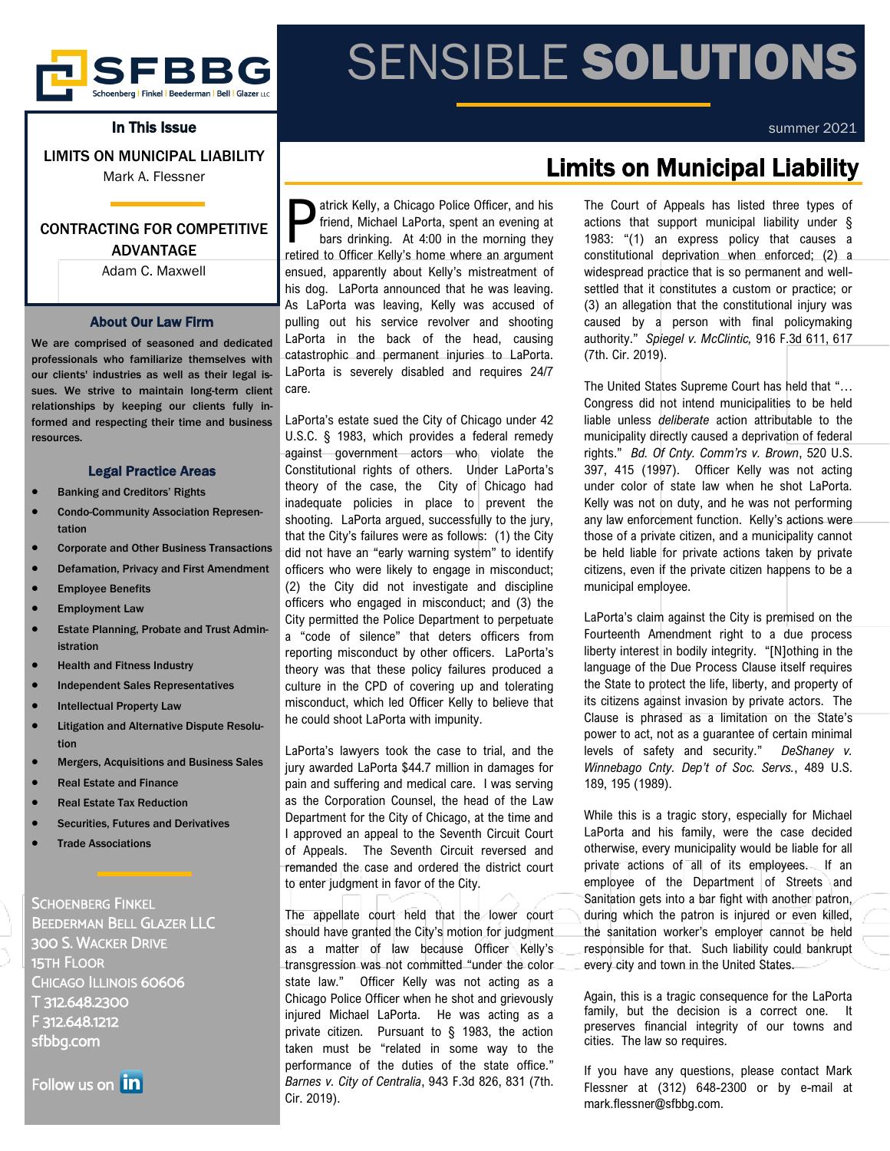

In This Issue

LIMITS ON MUNICIPAL LIABILITY

Mark A. Flessner

### CONTRACTING FOR COMPETITIVE ADVANTAGE

Adam C. Maxwell

#### About Our Law Firm

We are comprised of seasoned and dedicated professionals who familiarize themselves with our clients' industries as well as their legal issues. We strive to maintain long-term client relationships by keeping our clients fully informed and respecting their time and business resources.

#### Legal Practice Areas

- Banking and Creditors' Rights
- Condo-Community Association Representation
- Corporate and Other Business Transactions
- Defamation, Privacy and First Amendment
- **Employee Benefits**
- **Employment Law**
- Estate Planning, Probate and Trust Administration
- Health and Fitness Industry
- Independent Sales Representatives
- **Intellectual Property Law**
- Litigation and Alternative Dispute Resolution
- Mergers, Acquisitions and Business Sales
- Real Estate and Finance
- Real Estate Tax Reduction
- Securities, Futures and Derivatives
- **Trade Associations**

SCHOENBERG FINKEL BEEDERMAN BELL GLAZER LLC 300 S. WACKER DRIVE 15TH FLOOR CHICAGO ILLINOIS 60606 T 312.648.2300 F 312.648.1212 sfbbg.com

Follow us on **in** 

**P** atrick Kelly, a Chicago Police Officer, and his friend, Michael LaPorta, spent an evening at bars drinking. At 4:00 in the morning they retired to Officer Kelly's home where an argument atrick Kelly, a Chicago Police Officer, and his friend, Michael LaPorta, spent an evening at bars drinking. At 4:00 in the morning they ensued, apparently about Kelly's mistreatment of his dog. LaPorta announced that he was leaving. As LaPorta was leaving, Kelly was accused of pulling out his service revolver and shooting LaPorta in the back of the head, causing catastrophic and permanent injuries to LaPorta. LaPorta is severely disabled and requires 24/7 care.

LaPorta's estate sued the City of Chicago under 42 U.S.C. § 1983, which provides a federal remedy against government actors who violate the Constitutional rights of others. Under LaPorta's theory of the case, the City of Chicago had inadequate policies in place to prevent the shooting. LaPorta argued, successfully to the jury, that the City's failures were as follows: (1) the City did not have an "early warning system" to identify officers who were likely to engage in misconduct; (2) the City did not investigate and discipline officers who engaged in misconduct; and (3) the City permitted the Police Department to perpetuate a "code of silence" that deters officers from reporting misconduct by other officers. LaPorta's theory was that these policy failures produced a culture in the CPD of covering up and tolerating misconduct, which led Officer Kelly to believe that he could shoot LaPorta with impunity.

LaPorta's lawyers took the case to trial, and the jury awarded LaPorta \$44.7 million in damages for pain and suffering and medical care. I was serving as the Corporation Counsel, the head of the Law Department for the City of Chicago, at the time and I approved an appeal to the Seventh Circuit Court of Appeals. The Seventh Circuit reversed and remanded the case and ordered the district court to enter judgment in favor of the City.

The appellate court held that the lower court should have granted the City's motion for judgment as a matter of law because Officer Kelly's transgression was not committed "under the color state law." Officer Kelly was not acting as a Chicago Police Officer when he shot and grievously injured Michael LaPorta. He was acting as a private citizen. Pursuant to § 1983, the action taken must be "related in some way to the performance of the duties of the state office." *Barnes v. City of Centralia*, 943 F.3d 826, 831 (7th. Cir. 2019).

# SENSIBLE SOLUTIONS

#### summer 2021

## Limits on Municipal Liability

The Court of Appeals has listed three types of actions that support municipal liability under § 1983: "(1) an express policy that causes a constitutional deprivation when enforced; (2) a widespread practice that is so permanent and wellsettled that it constitutes a custom or practice; or (3) an allegation that the constitutional injury was caused by a person with final policymaking authority." *Spiegel v. McClintic,* 916 F.3d 611, 617 (7th. Cir. 2019).

The United States Supreme Court has held that "… Congress did not intend municipalities to be held liable unless *deliberate* action attributable to the municipality directly caused a deprivation of federal rights." *Bd. Of Cnty. Comm'rs v. Brown*, 520 U.S. 397, 415 (1997). Officer Kelly was not acting under color of state law when he shot LaPorta. Kelly was not on duty, and he was not performing any law enforcement function. Kelly's actions were those of a private citizen, and a municipality cannot be held liable for private actions taken by private citizens, even if the private citizen happens to be a municipal employee.

LaPorta's claim against the City is premised on the Fourteenth Amendment right to a due process liberty interest in bodily integrity. "[N]othing in the language of the Due Process Clause itself requires the State to protect the life, liberty, and property of its citizens against invasion by private actors. The Clause is phrased as a limitation on the State's power to act, not as a guarantee of certain minimal levels of safety and security." *DeShaney v. Winnebago Cnty. Dep't of Soc. Servs.*, 489 U.S. 189, 195 (1989).

While this is a tragic story, especially for Michael LaPorta and his family, were the case decided otherwise, every municipality would be liable for all private actions of all of its employees. If an employee of the Department of Streets and Sanitation gets into a bar fight with another patron, during which the patron is injured or even killed, the sanitation worker's employer cannot be held responsible for that. Such liability could bankrupt every city and town in the United States.

Again, this is a tragic consequence for the LaPorta family, but the decision is a correct one. It preserves financial integrity of our towns and cities. The law so requires.

If you have any questions, please contact Mark Flessner at (312) 648-2300 or by e-mail at mark.flessner@sfbbg.com.